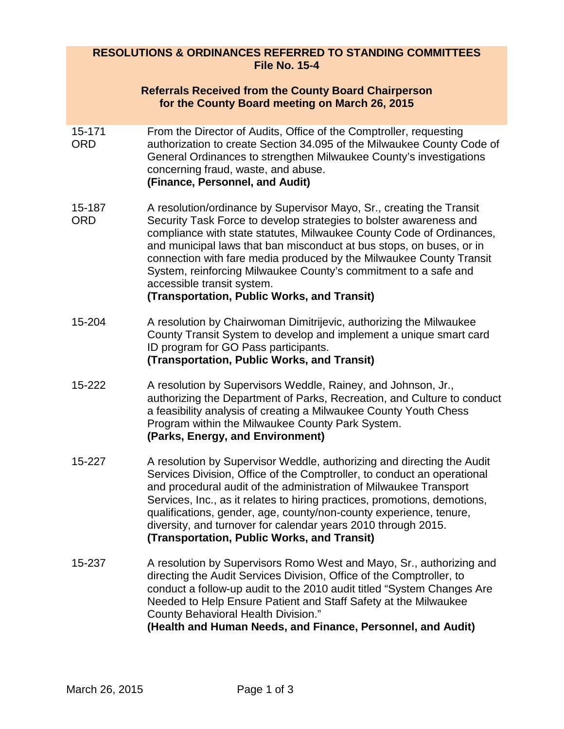## **RESOLUTIONS & ORDINANCES REFERRED TO STANDING COMMITTEES File No. 15-4**

|                      | <b>Referrals Received from the County Board Chairperson</b><br>for the County Board meeting on March 26, 2015                                                                                                                                                                                                                                                                                                                                                                                                     |
|----------------------|-------------------------------------------------------------------------------------------------------------------------------------------------------------------------------------------------------------------------------------------------------------------------------------------------------------------------------------------------------------------------------------------------------------------------------------------------------------------------------------------------------------------|
| 15-171<br><b>ORD</b> | From the Director of Audits, Office of the Comptroller, requesting<br>authorization to create Section 34.095 of the Milwaukee County Code of<br>General Ordinances to strengthen Milwaukee County's investigations<br>concerning fraud, waste, and abuse.<br>(Finance, Personnel, and Audit)                                                                                                                                                                                                                      |
| 15-187<br><b>ORD</b> | A resolution/ordinance by Supervisor Mayo, Sr., creating the Transit<br>Security Task Force to develop strategies to bolster awareness and<br>compliance with state statutes, Milwaukee County Code of Ordinances,<br>and municipal laws that ban misconduct at bus stops, on buses, or in<br>connection with fare media produced by the Milwaukee County Transit<br>System, reinforcing Milwaukee County's commitment to a safe and<br>accessible transit system.<br>(Transportation, Public Works, and Transit) |
| 15-204               | A resolution by Chairwoman Dimitrijevic, authorizing the Milwaukee<br>County Transit System to develop and implement a unique smart card<br>ID program for GO Pass participants.<br>(Transportation, Public Works, and Transit)                                                                                                                                                                                                                                                                                   |
| 15-222               | A resolution by Supervisors Weddle, Rainey, and Johnson, Jr.,<br>authorizing the Department of Parks, Recreation, and Culture to conduct<br>a feasibility analysis of creating a Milwaukee County Youth Chess<br>Program within the Milwaukee County Park System.<br>(Parks, Energy, and Environment)                                                                                                                                                                                                             |
| 15-227               | A resolution by Supervisor Weddle, authorizing and directing the Audit<br>Services Division, Office of the Comptroller, to conduct an operational<br>and procedural audit of the administration of Milwaukee Transport<br>Services, Inc., as it relates to hiring practices, promotions, demotions,<br>qualifications, gender, age, county/non-county experience, tenure,<br>diversity, and turnover for calendar years 2010 through 2015.<br>(Transportation, Public Works, and Transit)                         |
| 15-237               | A resolution by Supervisors Romo West and Mayo, Sr., authorizing and<br>directing the Audit Services Division, Office of the Comptroller, to<br>conduct a follow-up audit to the 2010 audit titled "System Changes Are<br>Needed to Help Ensure Patient and Staff Safety at the Milwaukee<br><b>County Behavioral Health Division."</b><br>(Health and Human Needs, and Finance, Personnel, and Audit)                                                                                                            |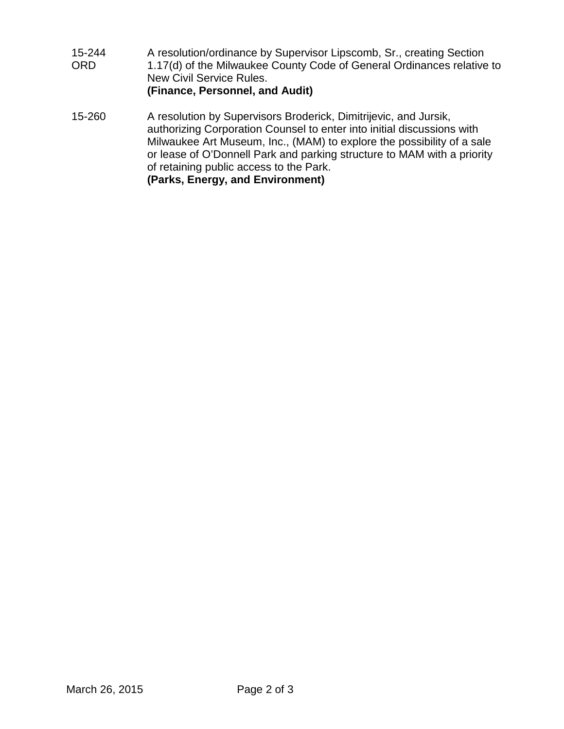15-244 ORD A resolution/ordinance by Supervisor Lipscomb, Sr., creating Section 1.17(d) of the Milwaukee County Code of General Ordinances relative to New Civil Service Rules. **(Finance, Personnel, and Audit)** 15-260 A resolution by Supervisors Broderick, Dimitrijevic, and Jursik, authorizing Corporation Counsel to enter into initial discussions with Milwaukee Art Museum, Inc., (MAM) to explore the possibility of a sale or lease of O'Donnell Park and parking structure to MAM with a priority of retaining public access to the Park. **(Parks, Energy, and Environment)**